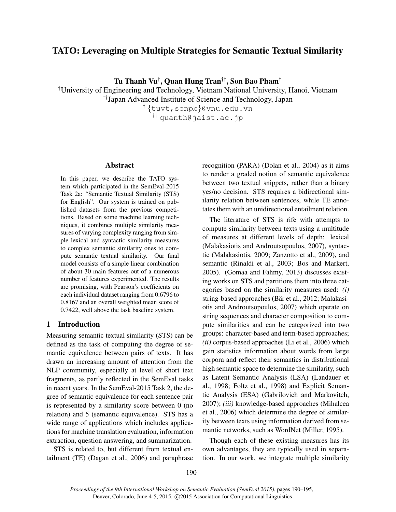# TATO: Leveraging on Multiple Strategies for Semantic Textual Similarity

Tu Thanh Vu†, Quan Hung Tran††, Son Bao Pham†

†University of Engineering and Technology, Vietnam National University, Hanoi, Vietnam

††Japan Advanced Institute of Science and Technology, Japan

† {tuvt,sonpb}@vnu.edu.vn †† quanth@jaist.ac.jp

#### Abstract

In this paper, we describe the TATO system which participated in the SemEval-2015 Task 2a: "Semantic Textual Similarity (STS) for English". Our system is trained on published datasets from the previous competitions. Based on some machine learning techniques, it combines multiple similarity measures of varying complexity ranging from simple lexical and syntactic similarity measures to complex semantic similarity ones to compute semantic textual similarity. Our final model consists of a simple linear combination of about 30 main features out of a numerous number of features experimented. The results are promising, with Pearson's coefficients on each individual dataset ranging from 0.6796 to 0.8167 and an overall weighted mean score of 0.7422, well above the task baseline system.

# 1 Introduction

Measuring semantic textual similarity (STS) can be defined as the task of computing the degree of semantic equivalence between pairs of texts. It has drawn an increasing amount of attention from the NLP community, especially at level of short text fragments, as partly reflected in the SemEval tasks in recent years. In the SemEval-2015 Task 2, the degree of semantic equivalence for each sentence pair is represented by a similarity score between 0 (no relation) and 5 (semantic equivalence). STS has a wide range of applications which includes applications for machine translation evaluation, information extraction, question answering, and summarization.

STS is related to, but different from textual entailment (TE) (Dagan et al., 2006) and paraphrase recognition (PARA) (Dolan et al., 2004) as it aims to render a graded notion of semantic equivalence between two textual snippets, rather than a binary yes/no decision. STS requires a bidirectional similarity relation between sentences, while TE annotates them with an unidirectional entailment relation.

The literature of STS is rife with attempts to compute similarity between texts using a multitude of measures at different levels of depth: lexical (Malakasiotis and Androutsopoulos, 2007), syntactic (Malakasiotis, 2009; Zanzotto et al., 2009), and semantic (Rinaldi et al., 2003; Bos and Markert, 2005). (Gomaa and Fahmy, 2013) discusses existing works on STS and partitions them into three categories based on the similarity measures used: *(i)* string-based approaches (Bär et al., 2012; Malakasiotis and Androutsopoulos, 2007) which operate on string sequences and character composition to compute similarities and can be categorized into two groups: character-based and term-based approaches; *(ii)* corpus-based approaches (Li et al., 2006) which gain statistics information about words from large corpora and reflect their semantics in distributional high semantic space to determine the similarity, such as Latent Semantic Analysis (LSA) (Landauer et al., 1998; Foltz et al., 1998) and Explicit Semantic Analysis (ESA) (Gabrilovich and Markovitch, 2007); *(iii)* knowledge-based approaches (Mihalcea et al., 2006) which determine the degree of similarity between texts using information derived from semantic networks, such as WordNet (Miller, 1995).

Though each of these existing measures has its own advantages, they are typically used in separation. In our work, we integrate multiple similarity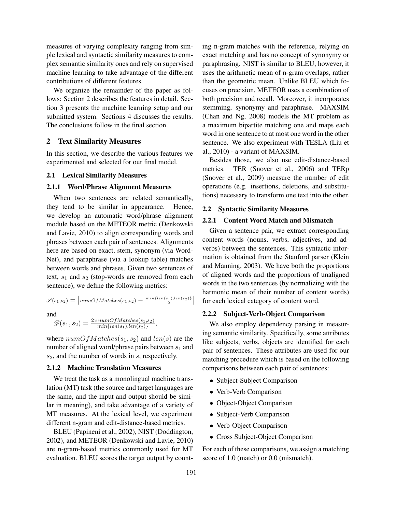measures of varying complexity ranging from simple lexical and syntactic similarity measures to complex semantic similarity ones and rely on supervised machine learning to take advantage of the different contributions of different features.

We organize the remainder of the paper as follows: Section 2 describes the features in detail. Section 3 presents the machine learning setup and our submitted system. Sections 4 discusses the results. The conclusions follow in the final section.

## 2 Text Similarity Measures

In this section, we describe the various features we experimented and selected for our final model.

#### 2.1 Lexical Similarity Measures

#### 2.1.1 Word/Phrase Alignment Measures

When two sentences are related semantically, they tend to be similar in appearance. Hence, we develop an automatic word/phrase alignment module based on the METEOR metric (Denkowski and Lavie, 2010) to align corresponding words and phrases between each pair of sentences. Alignments here are based on exact, stem, synonym (via Word-Net), and paraphrase (via a lookup table) matches between words and phrases. Given two sentences of text,  $s_1$  and  $s_2$  (stop-words are removed from each sentence), we define the following metrics:

$$
\mathcal{S}(s_1, s_2) = \left| \text{numOfMatches}(s_1, s_2) - \frac{\min\{\text{len}(s_1), \text{len}(s_2)\}}{2} \right|
$$

and

$$
\mathscr{D}(s_1, s_2) = \frac{2 \times numOfMatches(s_1, s_2)}{min\{len(s_1), len(s_2)\}},
$$

where  $numOfMatches(s_1, s_2)$  and  $len(s)$  are the number of aligned word/phrase pairs between  $s_1$  and  $s_2$ , and the number of words in  $s$ , respectively.

# 2.1.2 Machine Translation Measures

We treat the task as a monolingual machine translation (MT) task (the source and target languages are the same, and the input and output should be similar in meaning), and take advantage of a variety of MT measures. At the lexical level, we experiment different n-gram and edit-distance-based metrics.

BLEU (Papineni et al., 2002), NIST (Doddington, 2002), and METEOR (Denkowski and Lavie, 2010) are n-gram-based metrics commonly used for MT evaluation. BLEU scores the target output by counting n-gram matches with the reference, relying on exact matching and has no concept of synonymy or paraphrasing. NIST is similar to BLEU, however, it uses the arithmetic mean of n-gram overlaps, rather than the geometric mean. Unlike BLEU which focuses on precision, METEOR uses a combination of both precision and recall. Moreover, it incorporates stemming, synonymy and paraphrase. MAXSIM (Chan and Ng, 2008) models the MT problem as a maximum bipartite matching one and maps each word in one sentence to at most one word in the other sentence. We also experiment with TESLA (Liu et al., 2010) - a variant of MAXSIM.

Besides those, we also use edit-distance-based metrics. TER (Snover et al., 2006) and TERp (Snover et al., 2009) measure the number of edit operations (e.g. insertions, deletions, and substitutions) necessary to transform one text into the other.

#### 2.2 Syntactic Similarity Measures

# 2.2.1 Content Word Match and Mismatch

Given a sentence pair, we extract corresponding content words (nouns, verbs, adjectives, and adverbs) between the sentences. This syntactic information is obtained from the Stanford parser (Klein and Manning, 2003). We have both the proportions of aligned words and the proportions of unaligned words in the two sentences (by normalizing with the harmonic mean of their number of content words) for each lexical category of content word.

#### 2.2.2 Subject-Verb-Object Comparison

We also employ dependency parsing in measuring semantic similarity. Specifically, some attributes like subjects, verbs, objects are identified for each pair of sentences. These attributes are used for our matching procedure which is based on the following comparisons between each pair of sentences:

- Subject-Subject Comparison
- Verb-Verb Comparison
- Object-Object Comparison
- Subject-Verb Comparison
- Verb-Object Comparison
- Cross Subject-Object Comparison

For each of these comparisons, we assign a matching score of 1.0 (match) or 0.0 (mismatch).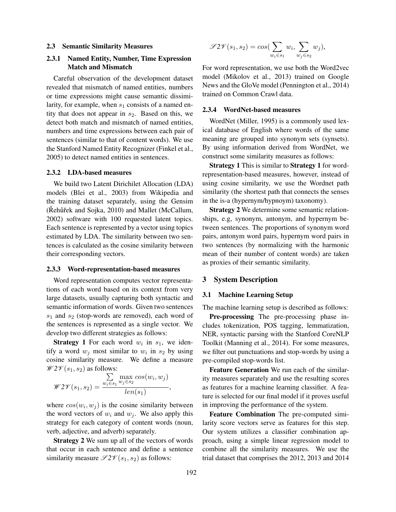#### 2.3 Semantic Similarity Measures

# 2.3.1 Named Entity, Number, Time Expression Match and Mismatch

Careful observation of the development dataset revealed that mismatch of named entities, numbers or time expressions might cause semantic dissimilarity, for example, when  $s_1$  consists of a named entity that does not appear in  $s_2$ . Based on this, we detect both match and mismatch of named entities, numbers and time expressions between each pair of sentences (similar to that of content words). We use the Stanford Named Entity Recognizer (Finkel et al., 2005) to detect named entities in sentences.

#### 2.3.2 LDA-based measures

We build two Latent Dirichilet Allocation (LDA) models (Blei et al., 2003) from Wikipedia and the training dataset separately, using the Gensim (Řehůřek and Sojka, 2010) and Mallet (McCallum, 2002) software with 100 requested latent topics. Each sentence is represented by a vector using topics estimated by LDA. The similarity between two sentences is calculated as the cosine similarity between their corresponding vectors.

#### 2.3.3 Word-representation-based measures

Word representation computes vector representations of each word based on its context from very large datasets, usually capturing both syntactic and semantic information of words. Given two sentences  $s_1$  and  $s_2$  (stop-words are removed), each word of the sentences is represented as a single vector. We develop two different strategies as follows:

**Strategy 1** For each word  $w_i$  in  $s_1$ , we identify a word  $w_j$  most similar to  $w_i$  in  $s_2$  by using cosine similarity measure. We define a measure  $\mathscr{W}2\mathscr{V}(s_1,s_2)$  as follows:

$$
\mathscr{W2V}(s_1, s_2) = \frac{\sum\limits_{w_i \in s_1} \max\limits_{w_j \in s_2} cos(w_i, w_j)}{len(s_1)},
$$

where  $cos(w_i, w_j)$  is the cosine similarity between the word vectors of  $w_i$  and  $w_j$ . We also apply this strategy for each category of content words (noun, verb, adjective, and adverb) separately.

Strategy 2 We sum up all of the vectors of words that occur in each sentence and define a sentence similarity measure  $\mathscr{S}2\mathscr{V}(s_1, s_2)$  as follows:

$$
\mathscr{S}2\mathscr{V}(s_1,s_2) = \cos(\sum_{w_i \in s_1} w_i, \sum_{w_j \in s_2} w_j),
$$

For word representation, we use both the Word2vec model (Mikolov et al., 2013) trained on Google News and the GloVe model (Pennington et al., 2014) trained on Common Crawl data.

### 2.3.4 WordNet-based measures

WordNet (Miller, 1995) is a commonly used lexical database of English where words of the same meaning are grouped into synonym sets (synsets). By using information derived from WordNet, we construct some similarity measures as follows:

**Strategy 1 This is similar to Strategy 1 for word**representation-based measures, however, instead of using cosine similarity, we use the Wordnet path similarity (the shortest path that connects the senses in the is-a (hypernym/hypnoym) taxonomy).

Strategy 2 We determine some semantic relationships, e.g, synonym, antonym, and hypernym between sentences. The proportions of synonym word pairs, antonym word pairs, hypernym word pairs in two sentences (by normalizing with the harmonic mean of their number of content words) are taken as proxies of their semantic similarity.

# 3 System Description

# 3.1 Machine Learning Setup

The machine learning setup is described as follows:

Pre-processing The pre-processing phase includes tokenization, POS tagging, lemmatization, NER, syntactic parsing with the Stanford CoreNLP Toolkit (Manning et al., 2014). For some measures, we filter out punctuations and stop-words by using a pre-compiled stop-words list.

Feature Generation We run each of the similarity measures separately and use the resulting scores as features for a machine learning classifier. A feature is selected for our final model if it proves useful in improving the performance of the system.

Feature Combination The pre-computed similarity score vectors serve as features for this step. Our system utilizes a classifier combination approach, using a simple linear regression model to combine all the similarity measures. We use the trial dataset that comprises the 2012, 2013 and 2014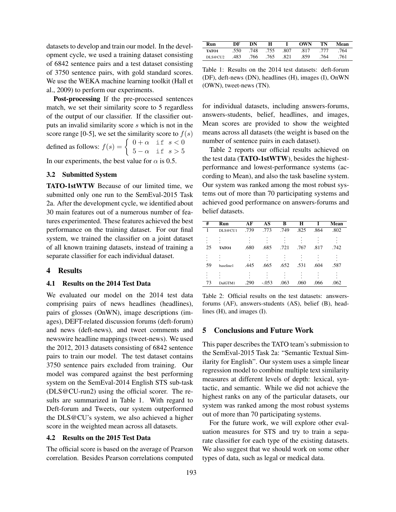datasets to develop and train our model. In the development cycle, we used a training dataset consisting of 6842 sentence pairs and a test dataset consisting of 3750 sentence pairs, with gold standard scores. We use the WEKA machine learning toolkit (Hall et al., 2009) to perform our experiments.

Post-processing If the pre-processed sentences match, we set their similarity score to 5 regardless of the output of our classifier. If the classifier outputs an invalid similarity score s which is not in the score range [0-5], we set the similarity score to  $f(s)$ defined as follows:  $f(s) = \begin{cases} 0 + \alpha & \text{if } s < 0 \\ 0 & \text{if } s \leq 0 \end{cases}$  $5-\alpha$  if  $s > 5$ 

In our experiments, the best value for  $\alpha$  is 0.5.

# 3.2 Submitted System

TATO-1stWTW Because of our limited time, we submitted only one run to the SemEval-2015 Task 2a. After the development cycle, we identified about 30 main features out of a numerous number of features experimented. These features achieved the best performance on the training dataset. For our final system, we trained the classifier on a joint dataset of all known training datasets, instead of training a separate classifier for each individual dataset.

# 4 Results

#### 4.1 Results on the 2014 Test Data

We evaluated our model on the 2014 test data comprising pairs of news headlines (headlines), pairs of glosses (OnWN), image descriptions (images), DEFT-related discussion forums (deft-forum) and news (deft-news), and tweet comments and newswire headline mappings (tweet-news). We used the 2012, 2013 datasets consisting of 6842 sentence pairs to train our model. The test dataset contains 3750 sentence pairs excluded from training. Our model was compared against the best performing system on the SemEval-2014 English STS sub-task (DLS@CU-run2) using the official scorer. The results are summarized in Table 1. With regard to Deft-forum and Tweets, our system outperformed the DLS@CU's system, we also achieved a higher score in the weighted mean across all datasets.

#### 4.2 Results on the 2015 Test Data

The official score is based on the average of Pearson correlation. Besides Pearson correlations computed

| Run       | DF   | DN        | H    |      | <b>OWN</b> | TN   | Mean |
|-----------|------|-----------|------|------|------------|------|------|
| TATO1     | .550 | .748 .755 |      | .807 | .817       | .777 | 764  |
| DI.S@CIJ2 | .483 | .766      | .765 | .821 | .859       | .764 | 761  |

Table 1: Results on the 2014 test datasets: deft-forum (DF), deft-news (DN), headlines (H), images (I), OnWN (OWN), tweet-news (TN).

for individual datasets, including answers-forums, answers-students, belief, headlines, and images, Mean scores are provided to show the weighted means across all datasets (the weight is based on the number of sentence pairs in each dataset).

Table 2 reports our official results achieved on the test data (TATO-1stWTW), besides the highestperformance and lowest-performance systems (according to Mean), and also the task baseline system. Our system was ranked among the most robust systems out of more than 70 participating systems and achieved good performance on answers-forums and belief datasets.

| #  | Run       | AF   | AS      | в    | H    |      | Mean |
|----|-----------|------|---------|------|------|------|------|
|    | DLS@CU1   | .739 | .773    | .749 | .825 | .864 | .802 |
| 25 | TATO1     | .680 | .685    | .721 | .767 | .817 | .742 |
| 59 | baseline1 | .445 | .665    | .652 | .531 | .604 | .587 |
| 73 | DalGTM1   | .290 | $-.053$ | .063 | .060 | .066 | .062 |

Table 2: Official results on the test datasets: answersforums (AF), answers-students (AS), belief (B), headlines (H), and images (I).

#### 5 Conclusions and Future Work

This paper describes the TATO team's submission to the SemEval-2015 Task 2a: "Semantic Textual Similarity for English". Our system uses a simple linear regression model to combine multiple text similarity measures at different levels of depth: lexical, syntactic, and semantic. While we did not achieve the highest ranks on any of the particular datasets, our system was ranked among the most robust systems out of more than 70 participating systems.

For the future work, we will explore other evaluation measures for STS and try to train a separate classifier for each type of the existing datasets. We also suggest that we should work on some other types of data, such as legal or medical data.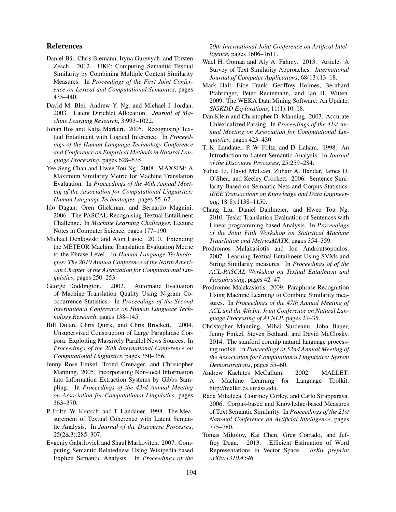# References

- Daniel Bär, Chris Biemann, Iryna Gurevych, and Torsten Zesch. 2012. UKP: Computing Semantic Textual Similarity by Combining Multiple Content Similarity Measures. In *Proceedings of the First Joint Conference on Lexical and Computational Semantics*, pages 435–440.
- David M. Blei, Andrew Y. Ng, and Michael I. Jordan. 2003. Latent Dirichlet Allocation. *Journal of Machine Learning Research*, 3:993–1022.
- Johan Bos and Katja Markert. 2005. Recognising Textual Entailment with Logical Inference. In *Proceedings of the Human Language Technology Conference and Conference on Empirical Methods in Natural Language Processing*, pages 628–635.
- Yee Seng Chan and Hwee Tou Ng. 2008. MAXSIM: A Maximum Similarity Metric for Machine Translation Evaluation. In *Proceedings of the 46th Annual Meeting of the Association for Computational Linguistics: Human Language Technologies*, pages 55–62.
- Ido Dagan, Oren Glickman, and Bernardo Magnini. 2006. The PASCAL Recognising Textual Entailment Challenge. In *Machine Learning Challenges*, Lecture Notes in Computer Science, pages 177–190.
- Michael Denkowski and Alon Lavie. 2010. Extending the METEOR Machine Translation Evaluation Metric to the Phrase Level. In *Human Language Technologies: The 2010 Annual Conference of the North American Chapter of the Association for Computational Linguistics*, pages 250–253.
- George Doddington. 2002. Automatic Evaluation of Machine Translation Quality Using N-gram Cooccurrence Statistics. In *Proceedings of the Second International Conference on Human Language Technology Research*, pages 138–145.
- Bill Dolan, Chris Quirk, and Chris Brockett. 2004. Unsupervised Construction of Large Paraphrase Corpora: Exploiting Massively Parallel News Sources. In *Proceedings of the 20th International Conference on Computational Linguistics*, pages 350–356.
- Jenny Rose Finkel, Trond Grenager, and Christopher Manning. 2005. Incorporating Non-local Information into Information Extraction Systems by Gibbs Sampling. In *Proceedings of the 43rd Annual Meeting on Association for Computational Linguistics*, pages 363–370.
- P. Foltz, W. Kintsch, and T. Landauer. 1998. The Measurement of Textual Coherence with Latent Semantic Analysis. In *Journal of the Discourse Processes*, 25(2&3):285–307.
- Evgeniy Gabrilovich and Shaul Markovitch. 2007. Computing Semantic Relatedness Using Wikipedia-based Explicit Semantic Analysis. In *Proceedings of the*

*20th International Joint Conference on Artifical Intelligence*, pages 1606–1611.

- Wael H. Gomaa and Aly A. Fahmy. 2013. Article: A Survey of Text Similarity Approaches. *International Journal of Computer Applications*, 68(13):13–18.
- Mark Hall, Eibe Frank, Geoffrey Holmes, Bernhard Pfahringer, Peter Reutemann, and Ian H. Witten. 2009. The WEKA Data Mining Software: An Update. *SIGKDD Explorations*, 11(1):10–18.
- Dan Klein and Christopher D. Manning. 2003. Accurate Unlexicalized Parsing. In *Proceedings of the 41st Annual Meeting on Association for Computational Linguistics*, pages 423–430.
- T. K. Landauer, P. W. Foltz, and D. Laham. 1998. An Introduction to Latent Semantic Analysis. In *Journal of the Discourse Processes*, 25:259–284.
- Yuhua Li, David McLean, Zuhair A. Bandar, James D. O'Shea, and Keeley Crockett. 2006. Sentence Similarity Based on Semantic Nets and Corpus Statistics. *IEEE Transactions on Knowledge and Data Engineering*, 18(8):1138–1150.
- Chang Liu, Daniel Dahlmeier, and Hwee Tou Ng. 2010. Tesla: Translation Evaluation of Sentences with Linear-programming-based Analysis. In *Proceedings of the Joint Fifth Workshop on Statistical Machine Translation and MetricsMATR*, pages 354–359.
- Prodromos Malakasiotis and Ion Androutsopoulos. 2007. Learning Textual Entailment Using SVMs and String Similarity measures. In *Proceedings of of the ACL-PASCAL Workshop on Textual Entailment and Paraphrasing*, pages 42–47.
- Prodromos Malakasiotis. 2009. Paraphrase Recognition Using Machine Learning to Combine Similarity measures. In *Proceedings of the 47th Annual Meeting of ACL and the 4th Int. Joint Conference on Natural Language Processing of AFNLP*, pages 27–35.
- Christopher Manning, Mihai Surdeanu, John Bauer, Jenny Finkel, Steven Bethard, and David McClosky. 2014. The stanford corenlp natural language processing toolkit. In *Proceedings of 52nd Annual Meeting of the Association for Computational Linguistics: System Demonstrations*, pages 55–60.
- Andrew Kachites McCallum. 2002. MALLET: A Machine Learning for Language Toolkit. http://mallet.cs.umass.edu.
- Rada Mihalcea, Courtney Corley, and Carlo Strapparava. 2006. Corpus-based and Knowledge-based Measures of Text Semantic Similarity. In *Proceedings of the 21st National Conference on Artificial Intelligence*, pages 775–780.
- Tomas Mikolov, Kai Chen, Greg Corrado, and Jeffrey Dean. 2013. Efficient Estimation of Word Representations in Vector Space. *arXiv preprint arXiv:1310.4546*.